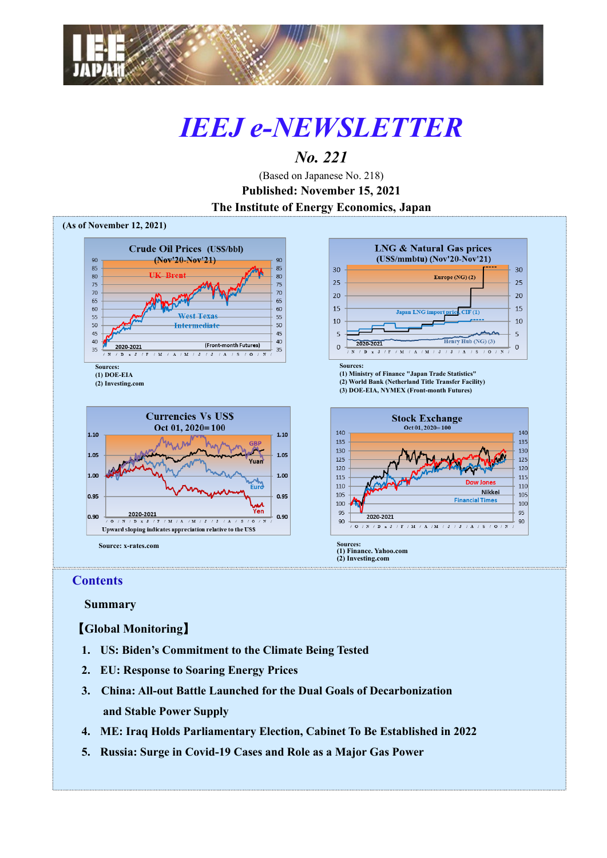

# *IEEJ e-NEWSLETTER*

## *No. 221*

(Based on Japanese No. 218) **Published: November 15, 2021 The Institute of Energy Economics, Japan**



### **Contents**

 **Summary**

【**Global Monitoring**】

- **1. US: Biden's Commitment to the Climate Being Tested**
- **2. EU: Response to Soaring Energy Prices**
- **3. China: All-out Battle Launched for the Dual Goals of Decarbonization and Stable Power Supply**
- **4. ME: Iraq Holds Parliamentary Election, Cabinet To Be Established in 2022**
- **5. Russia: Surge in Covid-19 Cases and Role as a Major Gas Power**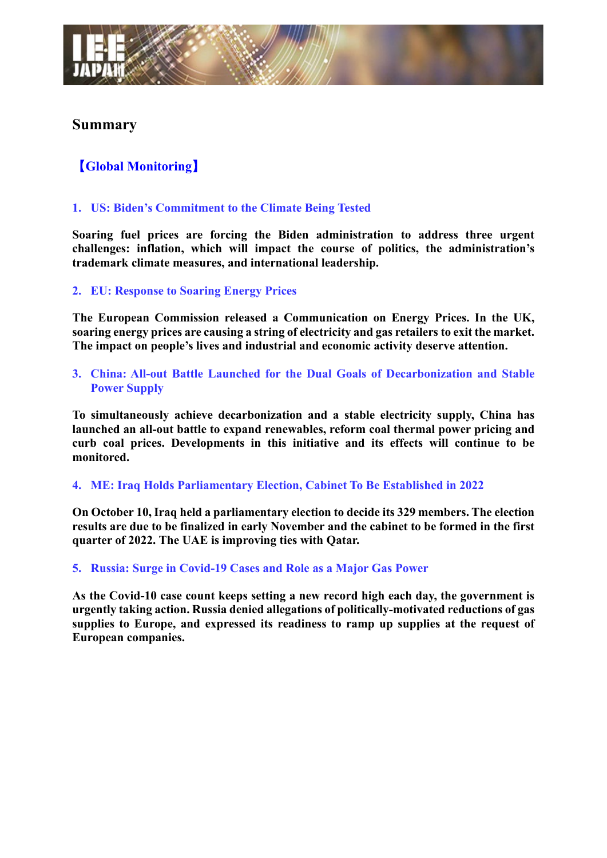## **Summary**

## 【**Global Monitoring**】

#### **1. US: Biden's Commitment to the Climate Being Tested**

**Soaring fuel prices are forcing the Biden administration to address three urgent challenges: inflation, which will impact the course of politics, the administration's trademark climate measures, and international leadership.**

#### **2. EU: Response to Soaring Energy Prices**

**The European Commission released a Communication on Energy Prices. In the UK, soaring energy prices are causing a string of electricity and gas retailers to exit the market. The impact on people's lives and industrial and economic activity deserve attention.**

**3. China: All-out Battle Launched for the Dual Goals of Decarbonization and Stable Power Supply**

**To simultaneously achieve decarbonization and a stable electricity supply, China has launched an all-out battle to expand renewables, reform coal thermal power pricing and curb coal prices. Developments in this initiative and its effects will continue to be monitored.**

#### **4. ME: Iraq Holds Parliamentary Election, Cabinet To Be Established in 2022**

**On October 10, Iraq held a parliamentary election to decide its 329 members. The election results are due to be finalized in early November and the cabinet to be formed in the first quarter of 2022. The UAE is improving ties with Qatar.**

#### **5. Russia: Surge in Covid-19 Cases and Role as a Major Gas Power**

**As the Covid-10 case count keeps setting a new record high each day, the government is urgently taking action. Russia denied allegations of politically-motivated reductions of gas supplies to Europe, and expressed its readiness to ramp up supplies at the request of European companies.**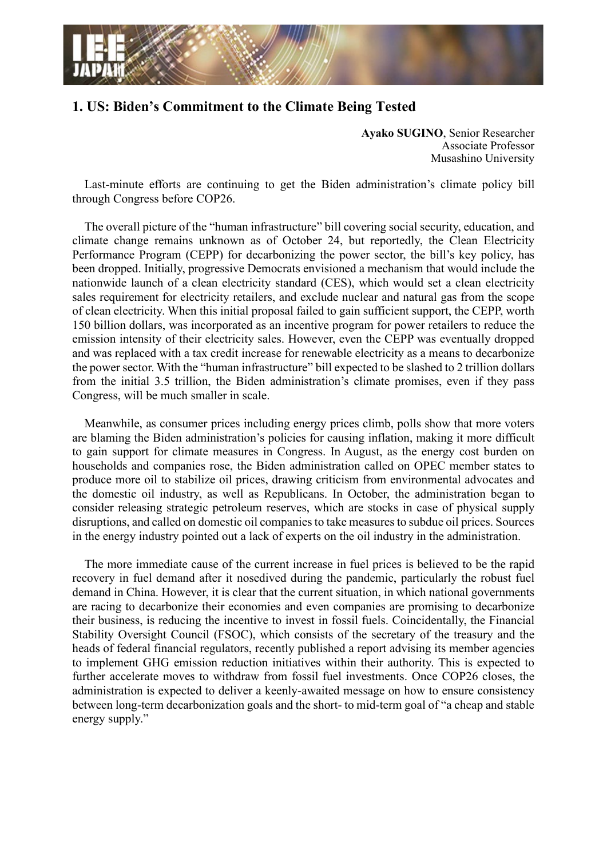

## **1. US: Biden's Commitment to the Climate Being Tested**

**Ayako SUGINO**, Senior Researcher Associate Professor Musashino University

Last-minute efforts are continuing to get the Biden administration's climate policy bill through Congress before COP26.

The overall picture of the "human infrastructure" bill covering social security, education, and climate change remains unknown as of October 24, but reportedly, the Clean Electricity Performance Program (CEPP) for decarbonizing the power sector, the bill's key policy, has been dropped. Initially, progressive Democrats envisioned a mechanism that would include the nationwide launch of a clean electricity standard (CES), which would set a clean electricity sales requirement for electricity retailers, and exclude nuclear and natural gas from the scope of clean electricity. When this initial proposal failed to gain sufficient support, the CEPP, worth 150 billion dollars, was incorporated as an incentive program for power retailers to reduce the emission intensity of their electricity sales. However, even the CEPP was eventually dropped and was replaced with a tax credit increase for renewable electricity as a means to decarbonize the power sector. With the "human infrastructure" bill expected to be slashed to 2 trillion dollars from the initial 3.5 trillion, the Biden administration's climate promises, even if they pass Congress, will be much smaller in scale.

Meanwhile, as consumer prices including energy prices climb, polls show that more voters are blaming the Biden administration's policies for causing inflation, making it more difficult to gain support for climate measures in Congress. In August, as the energy cost burden on households and companies rose, the Biden administration called on OPEC member states to produce more oil to stabilize oil prices, drawing criticism from environmental advocates and the domestic oil industry, as well as Republicans. In October, the administration began to consider releasing strategic petroleum reserves, which are stocks in case of physical supply disruptions, and called on domestic oil companies to take measures to subdue oil prices. Sources in the energy industry pointed out a lack of experts on the oil industry in the administration.

The more immediate cause of the current increase in fuel prices is believed to be the rapid recovery in fuel demand after it nosedived during the pandemic, particularly the robust fuel demand in China. However, it is clear that the current situation, in which national governments are racing to decarbonize their economies and even companies are promising to decarbonize their business, is reducing the incentive to invest in fossil fuels. Coincidentally, the Financial Stability Oversight Council (FSOC), which consists of the secretary of the treasury and the heads of federal financial regulators, recently published a report advising its member agencies to implement GHG emission reduction initiatives within their authority. This is expected to further accelerate moves to withdraw from fossil fuel investments. Once COP26 closes, the administration is expected to deliver a keenly-awaited message on how to ensure consistency between long-term decarbonization goals and the short- to mid-term goal of "a cheap and stable energy supply."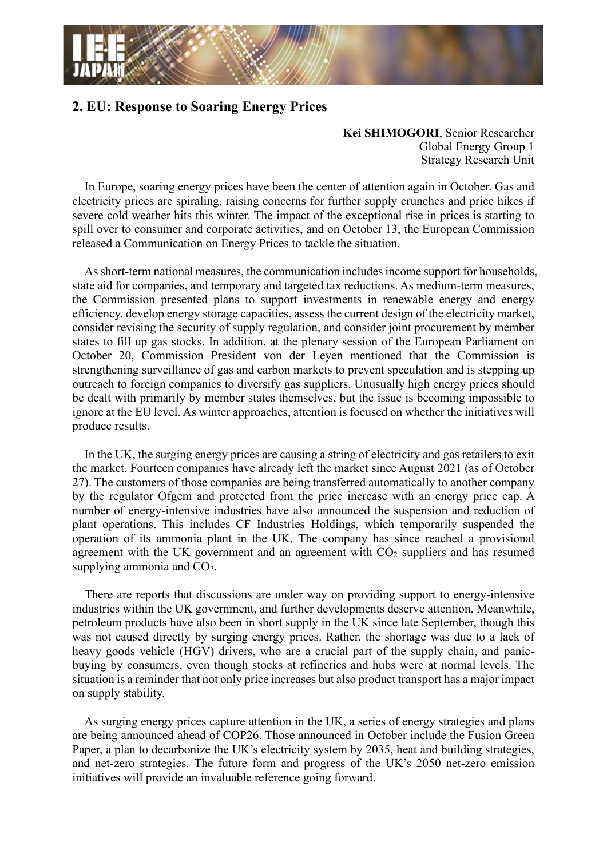

## **2. EU: Response to Soaring Energy Prices**

**Kei SHIMOGORI**, Senior Researcher Global Energy Group 1 Strategy Research Unit

In Europe, soaring energy prices have been the center of attention again in October. Gas and electricity prices are spiraling, raising concerns for further supply crunches and price hikes if severe cold weather hits this winter. The impact of the exceptional rise in prices is starting to spill over to consumer and corporate activities, and on October 13, the European Commission released a Communication on Energy Prices to tackle the situation.

As short-term national measures, the communication includes income support for households, state aid for companies, and temporary and targeted tax reductions. As medium-term measures, the Commission presented plans to support investments in renewable energy and energy efficiency, develop energy storage capacities, assess the current design of the electricity market, consider revising the security of supply regulation, and consider joint procurement by member states to fill up gas stocks. In addition, at the plenary session of the European Parliament on October 20, Commission President von der Leyen mentioned that the Commission is strengthening surveillance of gas and carbon markets to prevent speculation and is stepping up outreach to foreign companies to diversify gas suppliers. Unusually high energy prices should be dealt with primarily by member states themselves, but the issue is becoming impossible to ignore at the EU level. As winter approaches, attention is focused on whether the initiatives will produce results.

In the UK, the surging energy prices are causing a string of electricity and gas retailers to exit the market. Fourteen companies have already left the market since August 2021 (as of October 27). The customers of those companies are being transferred automatically to another company by the regulator Ofgem and protected from the price increase with an energy price cap. A number of energy-intensive industries have also announced the suspension and reduction of plant operations. This includes CF Industries Holdings, which temporarily suspended the operation of its ammonia plant in the UK. The company has since reached a provisional agreement with the UK government and an agreement with  $CO<sub>2</sub>$  suppliers and has resumed supplying ammonia and  $CO<sub>2</sub>$ .

There are reports that discussions are under way on providing support to energy-intensive industries within the UK government, and further developments deserve attention. Meanwhile, petroleum products have also been in short supply in the UK since late September, though this was not caused directly by surging energy prices. Rather, the shortage was due to a lack of heavy goods vehicle (HGV) drivers, who are a crucial part of the supply chain, and panicbuying by consumers, even though stocks at refineries and hubs were at normal levels. The situation is a reminder that not only price increases but also product transport has a major impact on supply stability.

As surging energy prices capture attention in the UK, a series of energy strategies and plans are being announced ahead of COP26. Those announced in October include the Fusion Green Paper, a plan to decarbonize the UK's electricity system by 2035, heat and building strategies, and net-zero strategies. The future form and progress of the UK's 2050 net-zero emission initiatives will provide an invaluable reference going forward.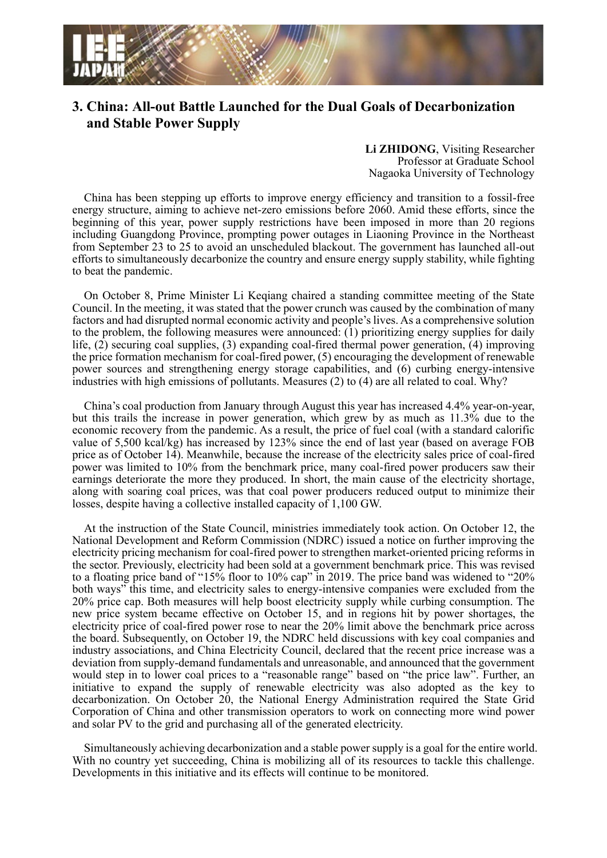

## **3. China: All-out Battle Launched for the Dual Goals of Decarbonization and Stable Power Supply**

**Li ZHIDONG**, Visiting Researcher Professor at Graduate School Nagaoka University of Technology

China has been stepping up efforts to improve energy efficiency and transition to a fossil-free energy structure, aiming to achieve net-zero emissions before 2060. Amid these efforts, since the beginning of this year, power supply restrictions have been imposed in more than 20 regions including Guangdong Province, prompting power outages in Liaoning Province in the Northeast from September 23 to 25 to avoid an unscheduled blackout. The government has launched all-out efforts to simultaneously decarbonize the country and ensure energy supply stability, while fighting to beat the pandemic.

On October 8, Prime Minister Li Keqiang chaired a standing committee meeting of the State Council. In the meeting, it was stated that the power crunch was caused by the combination of many factors and had disrupted normal economic activity and people's lives. As a comprehensive solution to the problem, the following measures were announced: (1) prioritizing energy supplies for daily life, (2) securing coal supplies, (3) expanding coal-fired thermal power generation, (4) improving the price formation mechanism for coal-fired power, (5) encouraging the development of renewable power sources and strengthening energy storage capabilities, and (6) curbing energy-intensive industries with high emissions of pollutants. Measures (2) to (4) are all related to coal. Why?

China's coal production from January through August this year has increased 4.4% year-on-year, but this trails the increase in power generation, which grew by as much as 11.3% due to the economic recovery from the pandemic. As a result, the price of fuel coal (with a standard calorific value of 5,500 kcal/kg) has increased by 123% since the end of last year (based on average FOB price as of October 14). Meanwhile, because the increase of the electricity sales price of coal-fired power was limited to 10% from the benchmark price, many coal-fired power producers saw their earnings deteriorate the more they produced. In short, the main cause of the electricity shortage, along with soaring coal prices, was that coal power producers reduced output to minimize their losses, despite having a collective installed capacity of 1,100 GW.

At the instruction of the State Council, ministries immediately took action. On October 12, the National Development and Reform Commission (NDRC) issued a notice on further improving the electricity pricing mechanism for coal-fired power to strengthen market-oriented pricing reforms in the sector. Previously, electricity had been sold at a government benchmark price. This was revised to a floating price band of "15% floor to 10% cap" in 2019. The price band was widened to "20% both ways" this time, and electricity sales to energy-intensive companies were excluded from the 20% price cap. Both measures will help boost electricity supply while curbing consumption. The new price system became effective on October 15, and in regions hit by power shortages, the electricity price of coal-fired power rose to near the 20% limit above the benchmark price across the board. Subsequently, on October 19, the NDRC held discussions with key coal companies and industry associations, and China Electricity Council, declared that the recent price increase was a deviation from supply-demand fundamentals and unreasonable, and announced that the government would step in to lower coal prices to a "reasonable range" based on "the price law". Further, an initiative to expand the supply of renewable electricity was also adopted as the key to decarbonization. On October 20, the National Energy Administration required the State Grid Corporation of China and other transmission operators to work on connecting more wind power and solar PV to the grid and purchasing all of the generated electricity.

Simultaneously achieving decarbonization and a stable power supply is a goal for the entire world. With no country yet succeeding, China is mobilizing all of its resources to tackle this challenge. Developments in this initiative and its effects will continue to be monitored.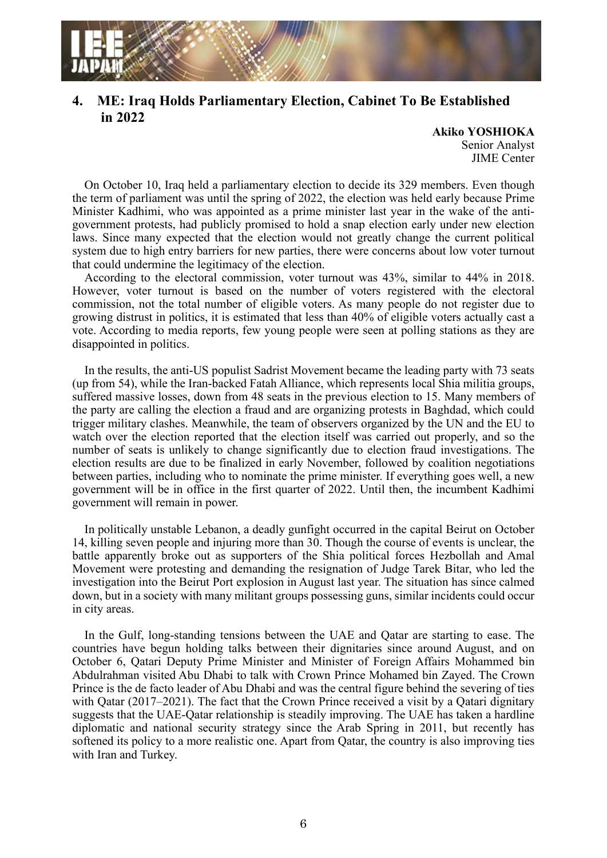

## **4. ME: Iraq Holds Parliamentary Election, Cabinet To Be Established in 2022**

**Akiko YOSHIOKA** Senior Analyst JIME Center

On October 10, Iraq held a parliamentary election to decide its 329 members. Even though the term of parliament was until the spring of 2022, the election was held early because Prime Minister Kadhimi, who was appointed as a prime minister last year in the wake of the antigovernment protests, had publicly promised to hold a snap election early under new election laws. Since many expected that the election would not greatly change the current political system due to high entry barriers for new parties, there were concerns about low voter turnout that could undermine the legitimacy of the election.

According to the electoral commission, voter turnout was 43%, similar to 44% in 2018. However, voter turnout is based on the number of voters registered with the electoral commission, not the total number of eligible voters. As many people do not register due to growing distrust in politics, it is estimated that less than 40% of eligible voters actually cast a vote. According to media reports, few young people were seen at polling stations as they are disappointed in politics.

In the results, the anti-US populist Sadrist Movement became the leading party with 73 seats (up from 54), while the Iran-backed Fatah Alliance, which represents local Shia militia groups, suffered massive losses, down from 48 seats in the previous election to 15. Many members of the party are calling the election a fraud and are organizing protests in Baghdad, which could trigger military clashes. Meanwhile, the team of observers organized by the UN and the EU to watch over the election reported that the election itself was carried out properly, and so the number of seats is unlikely to change significantly due to election fraud investigations. The election results are due to be finalized in early November, followed by coalition negotiations between parties, including who to nominate the prime minister. If everything goes well, a new government will be in office in the first quarter of 2022. Until then, the incumbent Kadhimi government will remain in power.

In politically unstable Lebanon, a deadly gunfight occurred in the capital Beirut on October 14, killing seven people and injuring more than 30. Though the course of events is unclear, the battle apparently broke out as supporters of the Shia political forces Hezbollah and Amal Movement were protesting and demanding the resignation of Judge Tarek Bitar, who led the investigation into the Beirut Port explosion in August last year. The situation has since calmed down, but in a society with many militant groups possessing guns, similar incidents could occur in city areas.

In the Gulf, long-standing tensions between the UAE and Qatar are starting to ease. The countries have begun holding talks between their dignitaries since around August, and on October 6, Qatari Deputy Prime Minister and Minister of Foreign Affairs Mohammed bin Abdulrahman visited Abu Dhabi to talk with Crown Prince Mohamed bin Zayed. The Crown Prince is the de facto leader of Abu Dhabi and was the central figure behind the severing of ties with Qatar (2017–2021). The fact that the Crown Prince received a visit by a Qatari dignitary suggests that the UAE-Qatar relationship is steadily improving. The UAE has taken a hardline diplomatic and national security strategy since the Arab Spring in 2011, but recently has softened its policy to a more realistic one. Apart from Qatar, the country is also improving ties with Iran and Turkey.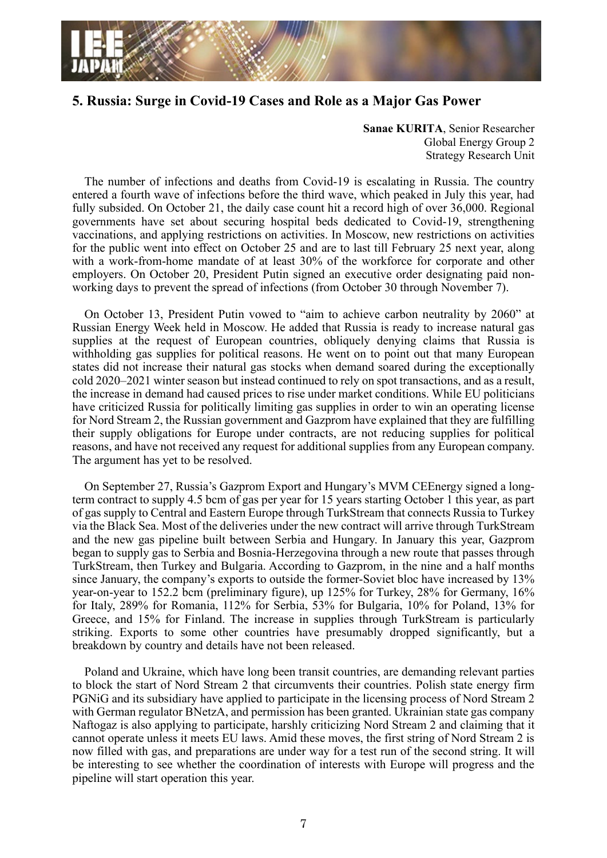

## **5. Russia: Surge in Covid-19 Cases and Role as a Major Gas Power**

**Sanae KURITA**, Senior Researcher Global Energy Group 2 Strategy Research Unit

The number of infections and deaths from Covid-19 is escalating in Russia. The country entered a fourth wave of infections before the third wave, which peaked in July this year, had fully subsided. On October 21, the daily case count hit a record high of over 36,000. Regional governments have set about securing hospital beds dedicated to Covid-19, strengthening vaccinations, and applying restrictions on activities. In Moscow, new restrictions on activities for the public went into effect on October 25 and are to last till February 25 next year, along with a work-from-home mandate of at least 30% of the workforce for corporate and other employers. On October 20, President Putin signed an executive order designating paid nonworking days to prevent the spread of infections (from October 30 through November 7).

On October 13, President Putin vowed to "aim to achieve carbon neutrality by 2060" at Russian Energy Week held in Moscow. He added that Russia is ready to increase natural gas supplies at the request of European countries, obliquely denying claims that Russia is withholding gas supplies for political reasons. He went on to point out that many European states did not increase their natural gas stocks when demand soared during the exceptionally cold 2020–2021 winter season but instead continued to rely on spot transactions, and as a result, the increase in demand had caused prices to rise under market conditions. While EU politicians have criticized Russia for politically limiting gas supplies in order to win an operating license for Nord Stream 2, the Russian government and Gazprom have explained that they are fulfilling their supply obligations for Europe under contracts, are not reducing supplies for political reasons, and have not received any request for additional supplies from any European company. The argument has yet to be resolved.

On September 27, Russia's Gazprom Export and Hungary's MVM CEEnergy signed a longterm contract to supply 4.5 bcm of gas per year for 15 years starting October 1 this year, as part of gas supply to Central and Eastern Europe through TurkStream that connects Russia to Turkey via the Black Sea. Most of the deliveries under the new contract will arrive through TurkStream and the new gas pipeline built between Serbia and Hungary. In January this year, Gazprom began to supply gas to Serbia and Bosnia-Herzegovina through a new route that passes through TurkStream, then Turkey and Bulgaria. According to Gazprom, in the nine and a half months since January, the company's exports to outside the former-Soviet bloc have increased by 13% year-on-year to 152.2 bcm (preliminary figure), up 125% for Turkey, 28% for Germany, 16% for Italy, 289% for Romania, 112% for Serbia, 53% for Bulgaria, 10% for Poland, 13% for Greece, and 15% for Finland. The increase in supplies through TurkStream is particularly striking. Exports to some other countries have presumably dropped significantly, but a breakdown by country and details have not been released.

Poland and Ukraine, which have long been transit countries, are demanding relevant parties to block the start of Nord Stream 2 that circumvents their countries. Polish state energy firm PGNiG and its subsidiary have applied to participate in the licensing process of Nord Stream 2 with German regulator BNetzA, and permission has been granted. Ukrainian state gas company Naftogaz is also applying to participate, harshly criticizing Nord Stream 2 and claiming that it cannot operate unless it meets EU laws. Amid these moves, the first string of Nord Stream 2 is now filled with gas, and preparations are under way for a test run of the second string. It will be interesting to see whether the coordination of interests with Europe will progress and the pipeline will start operation this year.